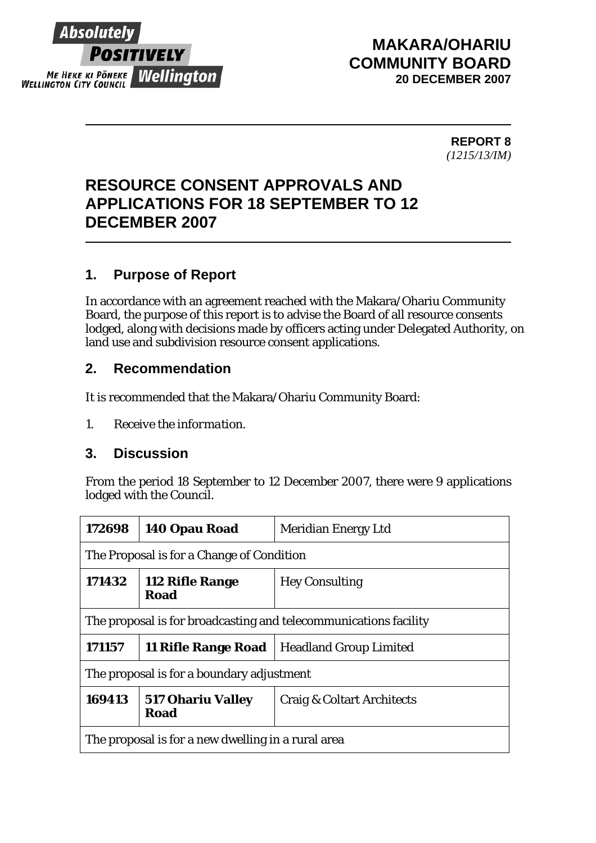

## **MAKARA/OHARIU COMMUNITY BOARD 20 DECEMBER 2007**

 **REPORT 8** *(1215/13/IM)* 

# **RESOURCE CONSENT APPROVALS AND APPLICATIONS FOR 18 SEPTEMBER TO 12 DECEMBER 2007**

### **1. Purpose of Report**

In accordance with an agreement reached with the Makara/Ohariu Community Board, the purpose of this report is to advise the Board of all resource consents lodged, along with decisions made by officers acting under Delegated Authority, on land use and subdivision resource consent applications.

#### **2. Recommendation**

It is recommended that the Makara/Ohariu Community Board:

*1. Receive the information.* 

#### **3. Discussion**

From the period 18 September to 12 December 2007, there were 9 applications lodged with the Council.

| 172698                                                           | 140 Opau Road                    | Meridian Energy Ltd        |  |  |
|------------------------------------------------------------------|----------------------------------|----------------------------|--|--|
| The Proposal is for a Change of Condition                        |                                  |                            |  |  |
| 171432                                                           | 112 Rifle Range<br>Road          | <b>Hey Consulting</b>      |  |  |
| The proposal is for broadcasting and telecommunications facility |                                  |                            |  |  |
| 171157                                                           | 11 Rifle Range Road              | Headland Group Limited     |  |  |
| The proposal is for a boundary adjustment                        |                                  |                            |  |  |
| 169413                                                           | <b>517 Ohariu Valley</b><br>Road | Craig & Coltart Architects |  |  |
| The proposal is for a new dwelling in a rural area               |                                  |                            |  |  |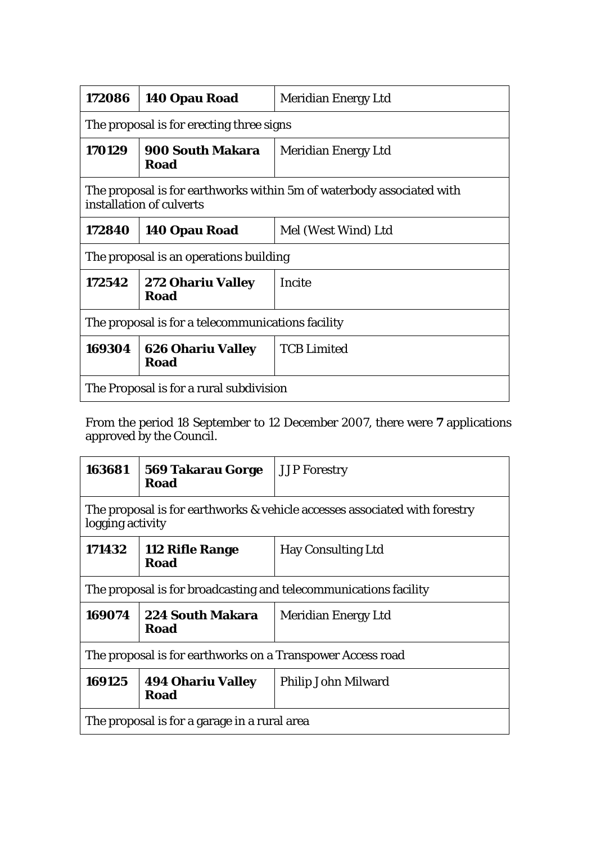| 172086                                                                                            | 140 Opau Road                           | <b>Meridian Energy Ltd</b> |  |  |
|---------------------------------------------------------------------------------------------------|-----------------------------------------|----------------------------|--|--|
| The proposal is for erecting three signs                                                          |                                         |                            |  |  |
| 170129                                                                                            | <b>900 South Makara</b><br><b>Road</b>  | <b>Meridian Energy Ltd</b> |  |  |
| The proposal is for earthworks within 5m of waterbody associated with<br>installation of culverts |                                         |                            |  |  |
| 172840                                                                                            | 140 Opau Road                           | Mel (West Wind) Ltd        |  |  |
| The proposal is an operations building                                                            |                                         |                            |  |  |
| 172542                                                                                            | <b>272 Ohariu Valley</b><br>Road        | Incite                     |  |  |
| The proposal is for a telecommunications facility                                                 |                                         |                            |  |  |
| 169304                                                                                            | <b>626 Ohariu Valley</b><br><b>Road</b> | <b>TCB Limited</b>         |  |  |
| The Proposal is for a rural subdivision                                                           |                                         |                            |  |  |

From the period 18 September to 12 December 2007, there were **7** applications approved by the Council.

| 163681                                                                                         | <b>569 Takarau Gorge</b><br>Road        | <b>JJP</b> Forestry        |  |
|------------------------------------------------------------------------------------------------|-----------------------------------------|----------------------------|--|
| The proposal is for earthworks & vehicle accesses associated with forestry<br>logging activity |                                         |                            |  |
| 171432                                                                                         | 112 Rifle Range<br>Road                 | <b>Hay Consulting Ltd</b>  |  |
| The proposal is for broadcasting and telecommunications facility                               |                                         |                            |  |
| 169074                                                                                         | <b>224 South Makara</b><br>Road         | <b>Meridian Energy Ltd</b> |  |
| The proposal is for earthworks on a Transpower Access road                                     |                                         |                            |  |
| 169125                                                                                         | <b>494 Ohariu Valley</b><br><b>Road</b> | Philip John Milward        |  |
| The proposal is for a garage in a rural area                                                   |                                         |                            |  |